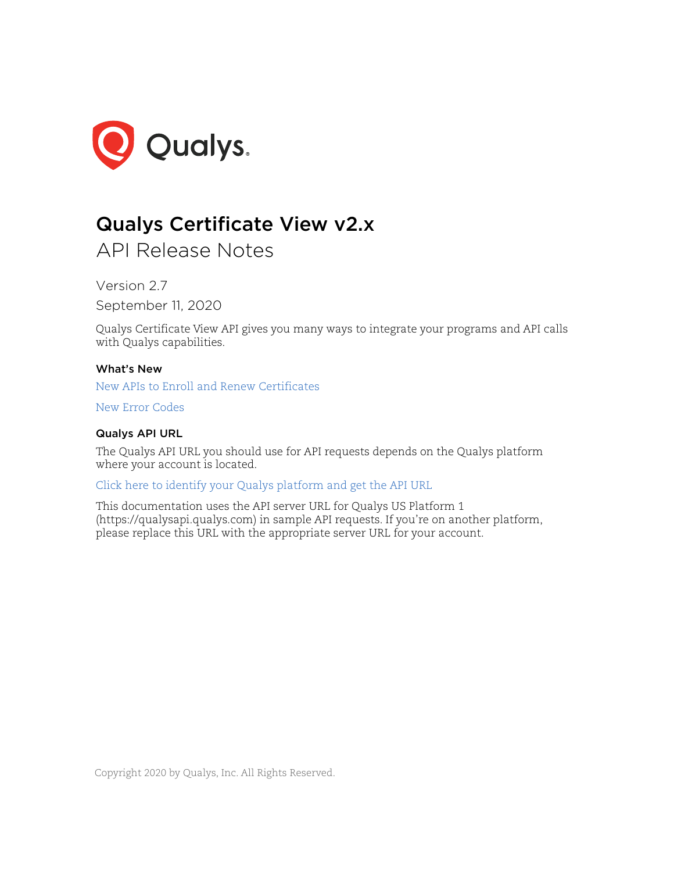

# Qualys Certificate View v2.x

API Release Notes

Version 2.7

September 11, 2020

Qualys Certificate View API gives you many ways to integrate your programs and API calls with Qualys capabilities.

## What's New

[New APIs to Enroll and Renew Certificates](#page-1-0)

[New Error Codes](#page-13-0)

## Qualys API URL

The Qualys API URL you should use for API requests depends on the Qualys platform where your account is located.

[Click here to identify your Qualys platform and get the API URL](https://www.qualys.com/platform-identification/)

This documentation uses the API server URL for Qualys US Platform 1 (https://qualysapi.qualys.com) in sample API requests. If you're on another platform, please replace this URL with the appropriate server URL for your account.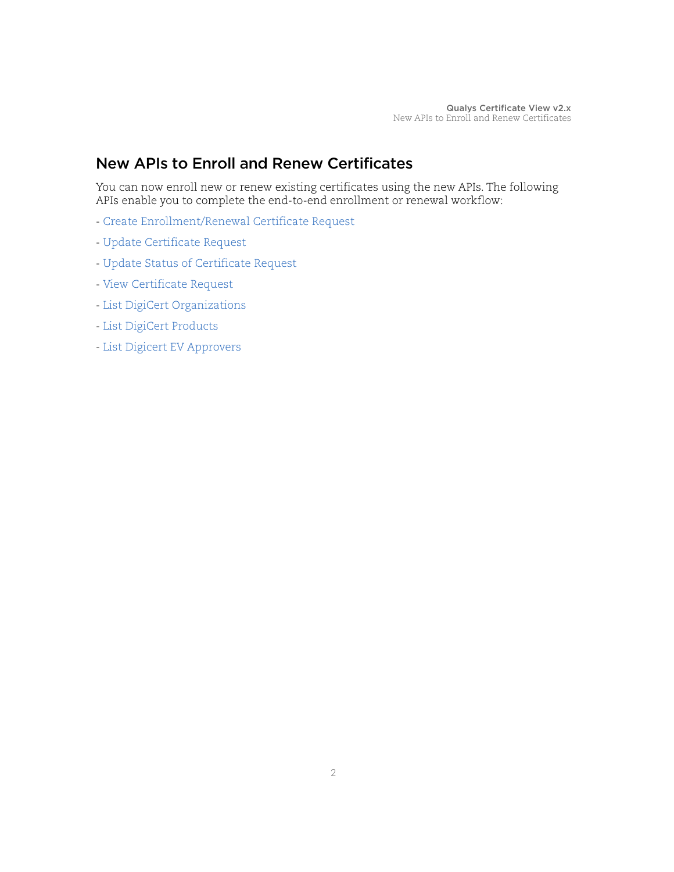# <span id="page-1-0"></span>New APIs to Enroll and Renew Certificates

You can now enroll new or renew existing certificates using the new APIs. The following APIs enable you to complete the end-to-end enrollment or renewal workflow:

- [Create Enrollment/Renewal Certificate Request](#page-2-0)
- [Update Certificate Request](#page-4-0)
- [Update Status of Certificate Request](#page-6-0)
- [View Certificate Request](#page-7-0)
- [List DigiCert Organizations](#page-9-0)
- [List DigiCert Products](#page-10-0)
- [List Digicert EV Approvers](#page-11-0)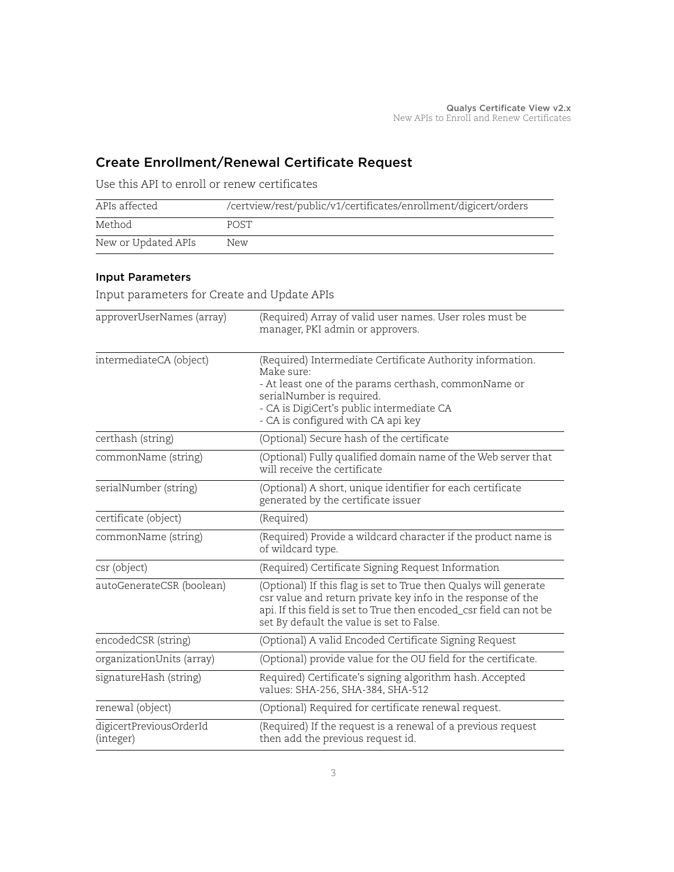# <span id="page-2-0"></span>Create Enrollment/Renewal Certificate Request

| APIs affected       | /certview/rest/public/v1/certificates/enrollment/digicert/orders |
|---------------------|------------------------------------------------------------------|
| Method              | <b>POST</b>                                                      |
| New or Updated APIs | New                                                              |

Use this API to enroll or renew certificates

# <span id="page-2-1"></span>Input Parameters

Input parameters for Create and Update APIs

| approverUserNames (array)            | (Required) Array of valid user names. User roles must be<br>manager, PKI admin or approvers.                                                                                                                                                         |
|--------------------------------------|------------------------------------------------------------------------------------------------------------------------------------------------------------------------------------------------------------------------------------------------------|
| intermediateCA (object)              | (Required) Intermediate Certificate Authority information.<br>Make sure:<br>- At least one of the params certhash, commonName or<br>serialNumber is required.<br>- CA is DigiCert's public intermediate CA<br>- CA is configured with CA api key     |
| certhash (string)                    | (Optional) Secure hash of the certificate                                                                                                                                                                                                            |
| commonName (string)                  | (Optional) Fully qualified domain name of the Web server that<br>will receive the certificate                                                                                                                                                        |
| serialNumber (string)                | (Optional) A short, unique identifier for each certificate<br>generated by the certificate issuer                                                                                                                                                    |
| certificate (object)                 | (Required)                                                                                                                                                                                                                                           |
| commonName (string)                  | (Required) Provide a wildcard character if the product name is<br>of wildcard type.                                                                                                                                                                  |
| csr (object)                         | (Required) Certificate Signing Request Information                                                                                                                                                                                                   |
| autoGenerateCSR (boolean)            | (Optional) If this flag is set to True then Qualys will generate<br>csr value and return private key info in the response of the<br>api. If this field is set to True then encoded_csr field can not be<br>set By default the value is set to False. |
| encodedCSR (string)                  | (Optional) A valid Encoded Certificate Signing Request                                                                                                                                                                                               |
| organizationUnits (array)            | (Optional) provide value for the OU field for the certificate.                                                                                                                                                                                       |
| signatureHash (string)               | Required) Certificate's signing algorithm hash. Accepted<br>values: SHA-256, SHA-384, SHA-512                                                                                                                                                        |
| renewal (object)                     | (Optional) Required for certificate renewal request.                                                                                                                                                                                                 |
| digicertPreviousOrderId<br>(integer) | (Required) If the request is a renewal of a previous request<br>then add the previous request id.                                                                                                                                                    |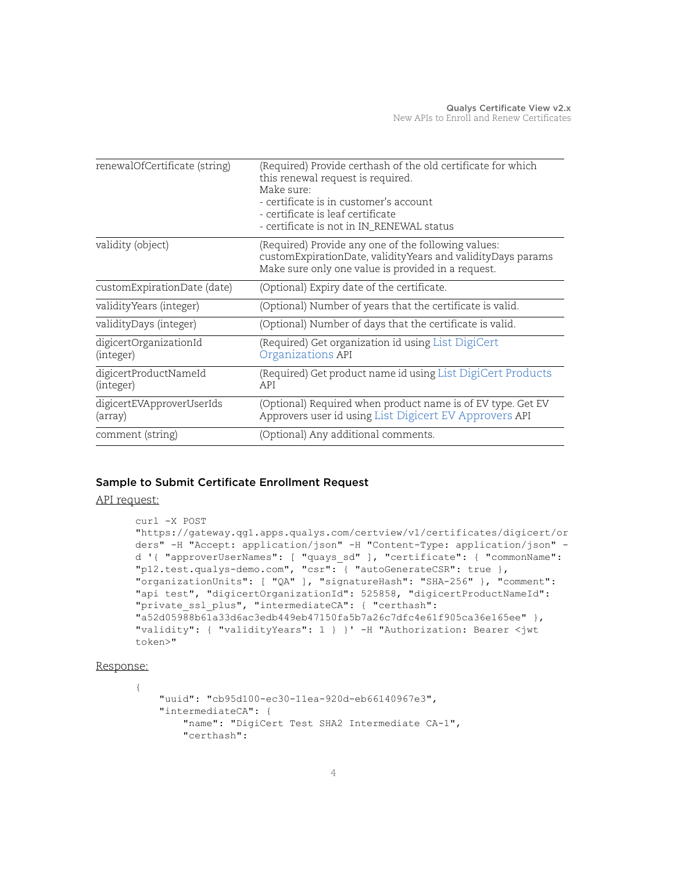| renewalOfCertificate (string)        | (Required) Provide certhash of the old certificate for which<br>this renewal request is required.                                                                        |
|--------------------------------------|--------------------------------------------------------------------------------------------------------------------------------------------------------------------------|
|                                      | Make sure:<br>- certificate is in customer's account<br>- certificate is leaf certificate<br>- certificate is not in IN_RENEWAL status                                   |
| validity (object)                    | (Required) Provide any one of the following values:<br>customExpirationDate, validityYears and validityDays params<br>Make sure only one value is provided in a request. |
| customExpirationDate (date)          | (Optional) Expiry date of the certificate.                                                                                                                               |
| validity Years (integer)             | (Optional) Number of years that the certificate is valid.                                                                                                                |
| validityDays (integer)               | (Optional) Number of days that the certificate is valid.                                                                                                                 |
| digicertOrganizationId<br>(integer)  | (Required) Get organization id using List DigiCert<br>Organizations API                                                                                                  |
| digicertProductNameId<br>(integer)   | (Required) Get product name id using List DigiCert Products<br>API                                                                                                       |
| digicertEVApproverUserIds<br>(array) | (Optional) Required when product name is of EV type. Get EV<br>Approvers user id using List Digicert EV Approvers API                                                    |
| comment (string)                     | (Optional) Any additional comments.                                                                                                                                      |

### Sample to Submit Certificate Enrollment Request

API request:

```
curl -X POST 
"https://gateway.qg1.apps.qualys.com/certview/v1/certificates/digicert/or
ders" -H "Accept: application/json" -H "Content-Type: application/json" -
d '{ "approverUserNames": [ "quays_sd" ], "certificate": { "commonName": 
"p12.test.qualys-demo.com", "csr": { "autoGenerateCSR": true }, 
"organizationUnits": [ "QA" ], "signatureHash": "SHA-256" }, "comment": 
"api test", "digicertOrganizationId": 525858, "digicertProductNameId": 
"private ssl plus", "intermediateCA": { "certhash":
"a52d05988b61a33d6ac3edb449eb47150fa5b7a26c7dfc4e61f905ca36e165ee" }, 
"validity": { "validityYears": 1 } }' -H "Authorization: Bearer <jwt 
token>"
```
#### Response:

{

```
 "uuid": "cb95d100-ec30-11ea-920d-eb66140967e3",
 "intermediateCA": {
    "name": "DigiCert Test SHA2 Intermediate CA-1",
     "certhash":
```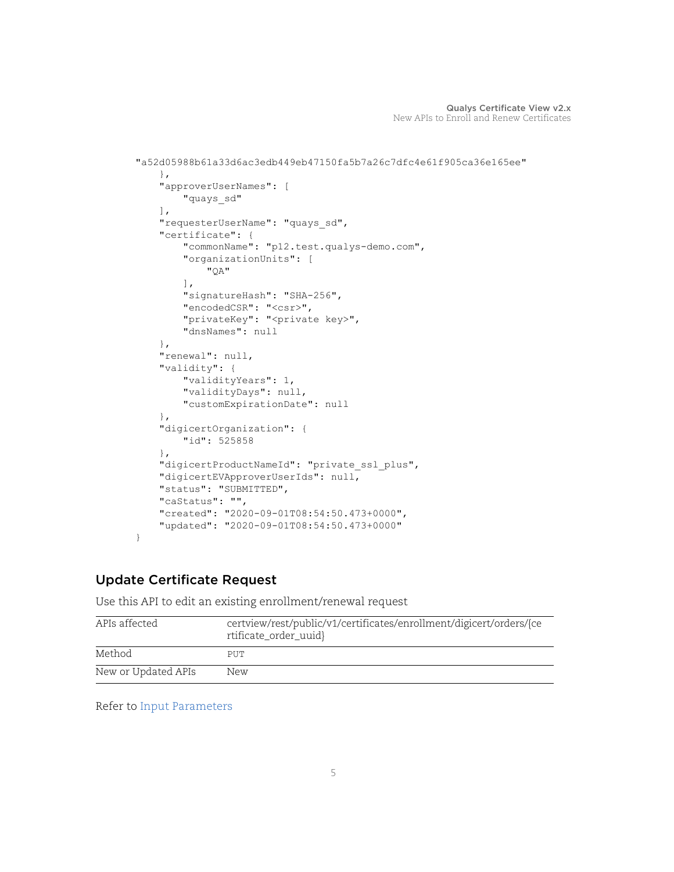```
"a52d05988b61a33d6ac3edb449eb47150fa5b7a26c7dfc4e61f905ca36e165ee"
     },
     "approverUserNames": [
         "quays_sd"
    \frac{1}{2},
     "requesterUserName": "quays_sd",
     "certificate": {
         "commonName": "p12.test.qualys-demo.com",
         "organizationUnits": [
              "QA"
        \frac{1}{2},
         "signatureHash": "SHA-256",
         "encodedCSR": "<csr>",
         "privateKey": "<private key>",
         "dnsNames": null
     },
     "renewal": null,
     "validity": {
         "validityYears": 1,
         "validityDays": null,
         "customExpirationDate": null
     },
     "digicertOrganization": {
         "id": 525858
     },
     "digicertProductNameId": "private_ssl_plus",
     "digicertEVApproverUserIds": null,
     "status": "SUBMITTED",
     "caStatus": "",
     "created": "2020-09-01T08:54:50.473+0000",
     "updated": "2020-09-01T08:54:50.473+0000"
}
```
# <span id="page-4-0"></span>Update Certificate Request

Use this API to edit an existing enrollment/renewal request

| APIs affected       | certview/rest/public/v1/certificates/enrollment/digicert/orders/{ce<br>rtificate_order_uuid} |
|---------------------|----------------------------------------------------------------------------------------------|
| Method              | PUT                                                                                          |
| New or Updated APIs | New                                                                                          |

Refer to [Input Parameters](#page-2-1)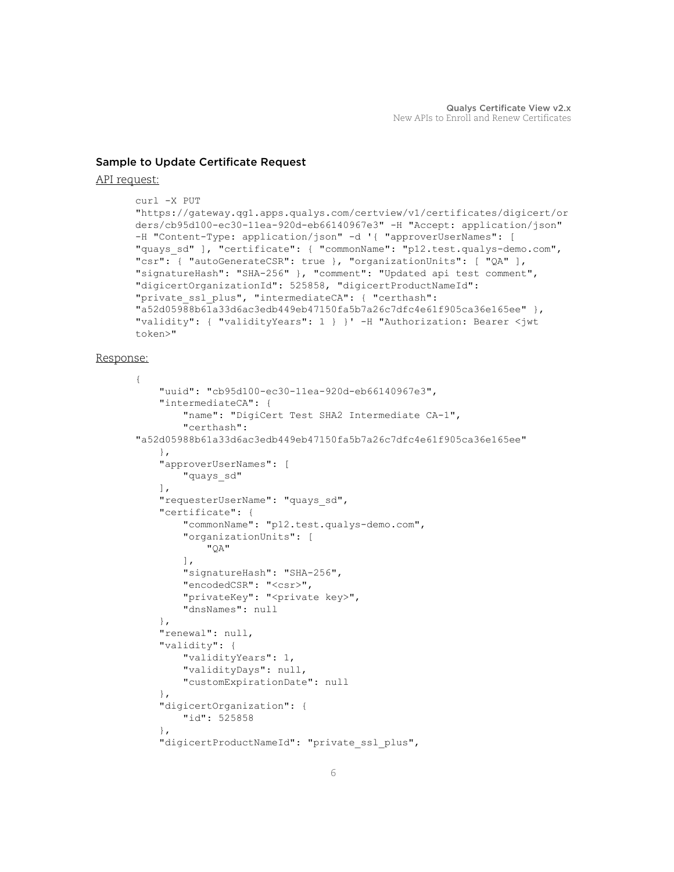#### Sample to Update Certificate Request

#### API request:

```
curl -X PUT 
"https://gateway.qg1.apps.qualys.com/certview/v1/certificates/digicert/or
ders/cb95d100-ec30-11ea-920d-eb66140967e3" -H "Accept: application/json" 
-H "Content-Type: application/json" -d '{ "approverUserNames": [ 
"quays_sd" ], "certificate": { "commonName": "p12.test.qualys-demo.com", 
"csr": { "autoGenerateCSR": true }, "organizationUnits": [ "QA" ], 
"signatureHash": "SHA-256" }, "comment": "Updated api test comment", 
"digicertOrganizationId": 525858, "digicertProductNameId": 
"private ssl plus", "intermediateCA": { "certhash":
"a52d05988b61a33d6ac3edb449eb47150fa5b7a26c7dfc4e61f905ca36e165ee" }, 
"validity": { "validityYears": 1 } }' -H "Authorization: Bearer <jwt 
token>"
```
#### Response:

```
{
     "uuid": "cb95d100-ec30-11ea-920d-eb66140967e3",
     "intermediateCA": {
         "name": "DigiCert Test SHA2 Intermediate CA-1",
         "certhash": 
"a52d05988b61a33d6ac3edb449eb47150fa5b7a26c7dfc4e61f905ca36e165ee"
     },
     "approverUserNames": [
         "quays_sd"
     ],
     "requesterUserName": "quays_sd",
     "certificate": {
         "commonName": "p12.test.qualys-demo.com",
         "organizationUnits": [
              "QA"
        \frac{1}{2},
         "signatureHash": "SHA-256",
         "encodedCSR": "<csr>",
         "privateKey": "<private key>",
         "dnsNames": null
     },
     "renewal": null,
     "validity": {
         "validityYears": 1,
         "validityDays": null,
         "customExpirationDate": null
     },
     "digicertOrganization": {
         "id": 525858
     },
    "digicertProductNameId": "private ssl plus",
```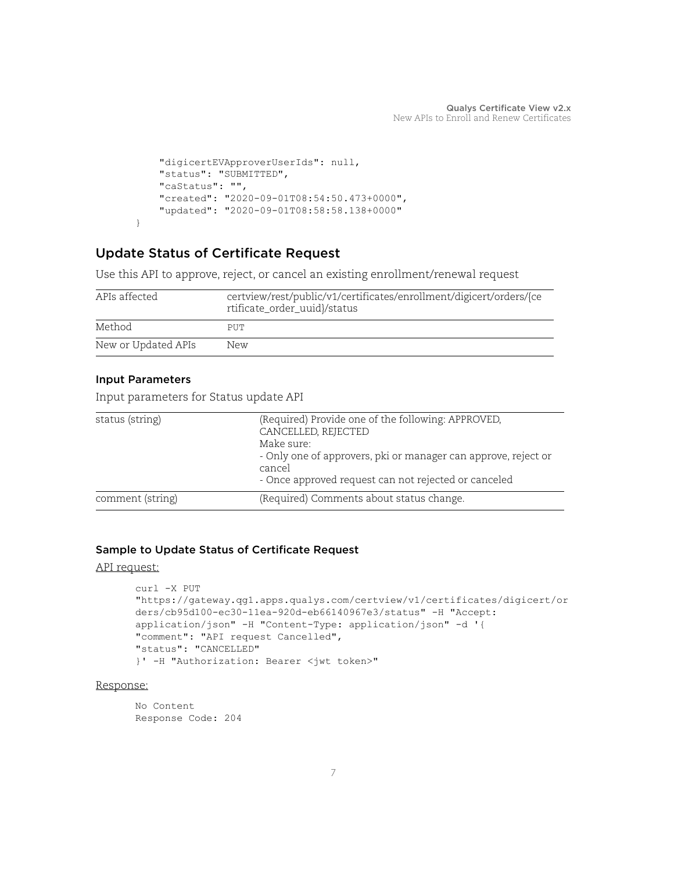```
 "digicertEVApproverUserIds": null,
     "status": "SUBMITTED",
     "caStatus": "",
     "created": "2020-09-01T08:54:50.473+0000",
     "updated": "2020-09-01T08:58:58.138+0000"
}
```
# <span id="page-6-0"></span>Update Status of Certificate Request

Use this API to approve, reject, or cancel an existing enrollment/renewal request

| APIs affected       | certview/rest/public/v1/certificates/enrollment/digicert/orders/{ce<br>rtificate_order_uuid}/status |
|---------------------|-----------------------------------------------------------------------------------------------------|
| Method              | PUT                                                                                                 |
| New or Updated APIs | New                                                                                                 |

#### Input Parameters

Input parameters for Status update API

| status (string)  | (Required) Provide one of the following: APPROVED,<br>CANCELLED, REJECTED<br>Make sure:<br>- Only one of approvers, pki or manager can approve, reject or<br>cancel<br>- Once approved request can not rejected or canceled |
|------------------|-----------------------------------------------------------------------------------------------------------------------------------------------------------------------------------------------------------------------------|
| comment (string) | (Required) Comments about status change.                                                                                                                                                                                    |

#### Sample to Update Status of Certificate Request

#### API request:

```
curl -X PUT 
"https://gateway.qg1.apps.qualys.com/certview/v1/certificates/digicert/or
ders/cb95d100-ec30-11ea-920d-eb66140967e3/status" -H "Accept: 
application/json" -H "Content-Type: application/json" -d '{
"comment": "API request Cancelled",
"status": "CANCELLED"
}' -H "Authorization: Bearer <jwt token>"
```
#### Response:

No Content Response Code: 204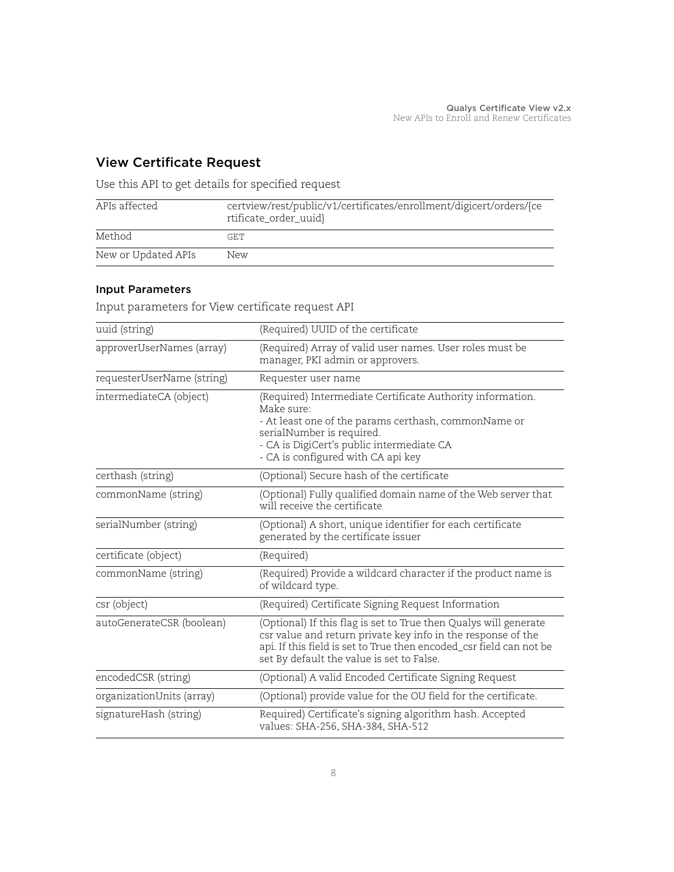# <span id="page-7-0"></span>View Certificate Request

Use this API to get details for specified request

| APIs affected       | certview/rest/public/v1/certificates/enrollment/digicert/orders/{ce<br>rtificate_order_uuid} |
|---------------------|----------------------------------------------------------------------------------------------|
| Method              | GET                                                                                          |
| New or Updated APIs | New                                                                                          |

# Input Parameters

Input parameters for View certificate request API

| uuid (string)              | (Required) UUID of the certificate                                                                                                                                                                                                                   |
|----------------------------|------------------------------------------------------------------------------------------------------------------------------------------------------------------------------------------------------------------------------------------------------|
| approverUserNames (array)  | (Required) Array of valid user names. User roles must be<br>manager, PKI admin or approvers.                                                                                                                                                         |
| requesterUserName (string) | Requester user name                                                                                                                                                                                                                                  |
| intermediateCA (object)    | (Required) Intermediate Certificate Authority information.<br>Make sure:<br>- At least one of the params certhash, commonName or<br>serialNumber is required.<br>- CA is DigiCert's public intermediate CA<br>- CA is configured with CA api key     |
| certhash (string)          | (Optional) Secure hash of the certificate                                                                                                                                                                                                            |
| commonName (string)        | (Optional) Fully qualified domain name of the Web server that<br>will receive the certificate                                                                                                                                                        |
| serialNumber (string)      | (Optional) A short, unique identifier for each certificate<br>generated by the certificate issuer                                                                                                                                                    |
| certificate (object)       | (Required)                                                                                                                                                                                                                                           |
| commonName (string)        | (Required) Provide a wildcard character if the product name is<br>of wildcard type.                                                                                                                                                                  |
| csr (object)               | (Required) Certificate Signing Request Information                                                                                                                                                                                                   |
| autoGenerateCSR (boolean)  | (Optional) If this flag is set to True then Qualys will generate<br>csr value and return private key info in the response of the<br>api. If this field is set to True then encoded_csr field can not be<br>set By default the value is set to False. |
| encodedCSR (string)        | (Optional) A valid Encoded Certificate Signing Request                                                                                                                                                                                               |
| organizationUnits (array)  | (Optional) provide value for the OU field for the certificate.                                                                                                                                                                                       |
| signatureHash (string)     | Required) Certificate's signing algorithm hash. Accepted<br>values: SHA-256, SHA-384, SHA-512                                                                                                                                                        |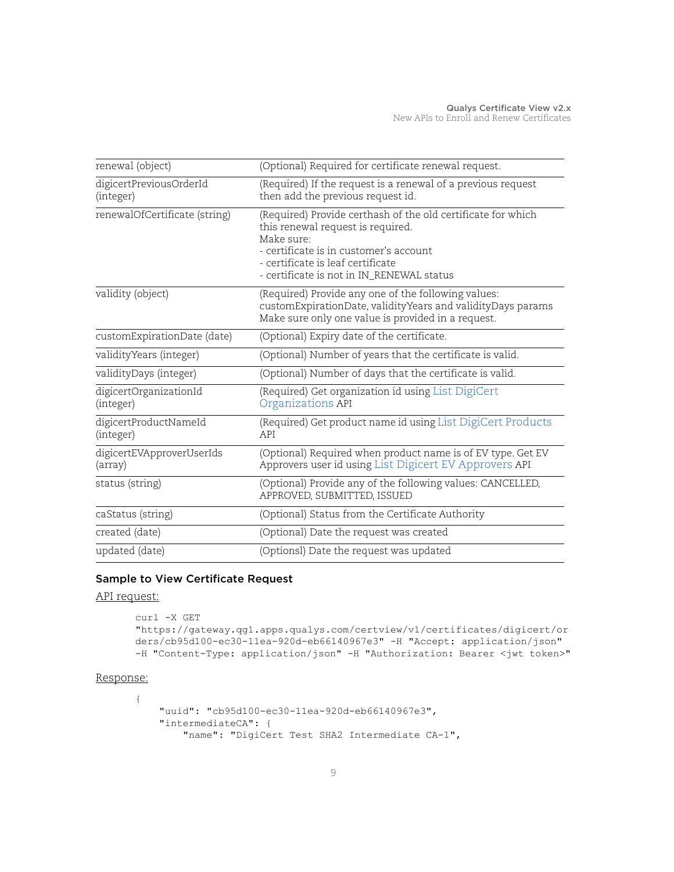| renewal (object)                     | (Optional) Required for certificate renewal request.                                                                                                                                                                                        |
|--------------------------------------|---------------------------------------------------------------------------------------------------------------------------------------------------------------------------------------------------------------------------------------------|
| digicertPreviousOrderId<br>(integer) | (Required) If the request is a renewal of a previous request<br>then add the previous request id.                                                                                                                                           |
| renewalOfCertificate (string)        | (Required) Provide certhash of the old certificate for which<br>this renewal request is required.<br>Make sure:<br>- certificate is in customer's account<br>- certificate is leaf certificate<br>- certificate is not in IN_RENEWAL status |
| validity (object)                    | (Required) Provide any one of the following values:<br>customExpirationDate, validityYears and validityDays params<br>Make sure only one value is provided in a request.                                                                    |
| customExpirationDate (date)          | (Optional) Expiry date of the certificate.                                                                                                                                                                                                  |
| validity Years (integer)             | (Optional) Number of years that the certificate is valid.                                                                                                                                                                                   |
| validityDays (integer)               | (Optional) Number of days that the certificate is valid.                                                                                                                                                                                    |
| digicertOrganizationId<br>(integer)  | (Required) Get organization id using List DigiCert<br>Organizations API                                                                                                                                                                     |
| digicertProductNameId<br>(integer)   | (Required) Get product name id using List DigiCert Products<br>API                                                                                                                                                                          |
| digicertEVApproverUserIds<br>(array) | (Optional) Required when product name is of EV type. Get EV<br>Approvers user id using List Digicert EV Approvers API                                                                                                                       |
| status (string)                      | (Optional) Provide any of the following values: CANCELLED,<br>APPROVED, SUBMITTED, ISSUED                                                                                                                                                   |
| caStatus (string)                    | (Optional) Status from the Certificate Authority                                                                                                                                                                                            |
| created (date)                       | (Optional) Date the request was created                                                                                                                                                                                                     |
| updated (date)                       | (Optionsl) Date the request was updated                                                                                                                                                                                                     |

## Sample to View Certificate Request

API request:

```
curl -X GET 
"https://gateway.qg1.apps.qualys.com/certview/v1/certificates/digicert/or
ders/cb95d100-ec30-11ea-920d-eb66140967e3" -H "Accept: application/json" 
-H "Content-Type: application/json" -H "Authorization: Bearer <jwt token>"
```
#### Response:

```
{
     "uuid": "cb95d100-ec30-11ea-920d-eb66140967e3",
     "intermediateCA": {
         "name": "DigiCert Test SHA2 Intermediate CA-1",
```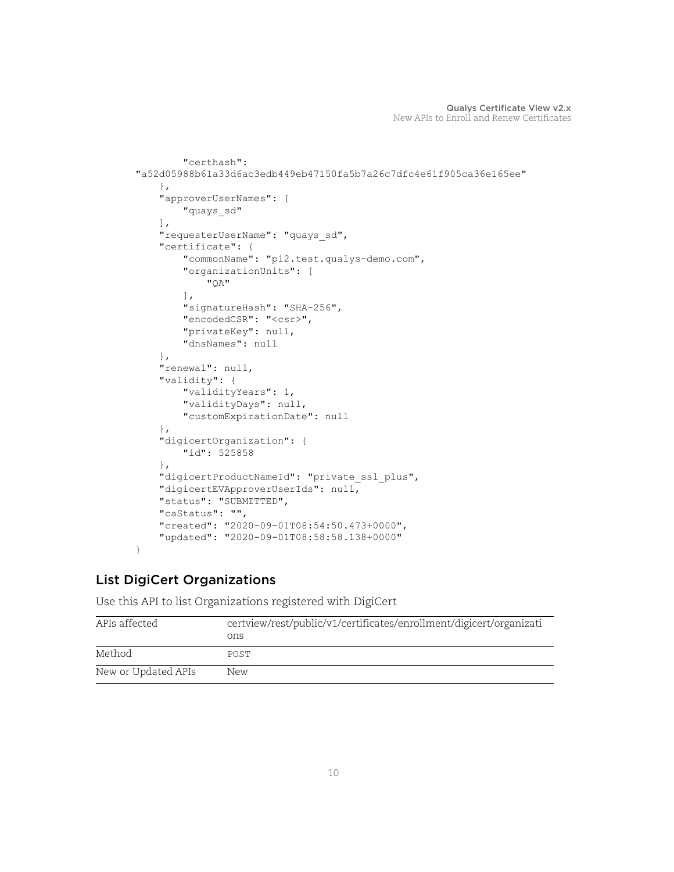```
 "certhash": 
"a52d05988b61a33d6ac3edb449eb47150fa5b7a26c7dfc4e61f905ca36e165ee"
     },
     "approverUserNames": [
         "quays_sd"
    \frac{1}{2} "requesterUserName": "quays_sd",
     "certificate": {
         "commonName": "p12.test.qualys-demo.com",
         "organizationUnits": [
              "QA"
        \frac{1}{2} "signatureHash": "SHA-256",
         "encodedCSR": "<csr>",
         "privateKey": null,
         "dnsNames": null
     },
     "renewal": null,
     "validity": {
         "validityYears": 1,
         "validityDays": null,
         "customExpirationDate": null
     },
     "digicertOrganization": {
         "id": 525858
     },
     "digicertProductNameId": "private_ssl_plus",
     "digicertEVApproverUserIds": null,
     "status": "SUBMITTED",
     "caStatus": "",
     "created": "2020-09-01T08:54:50.473+0000",
     "updated": "2020-09-01T08:58:58.138+0000"
}
```
# <span id="page-9-0"></span>List DigiCert Organizations

Use this API to list Organizations registered with DigiCert

| APIs affected       | certview/rest/public/v1/certificates/enrollment/digicert/organizati<br>ons |
|---------------------|----------------------------------------------------------------------------|
| Method              | POST                                                                       |
| New or Updated APIs | New                                                                        |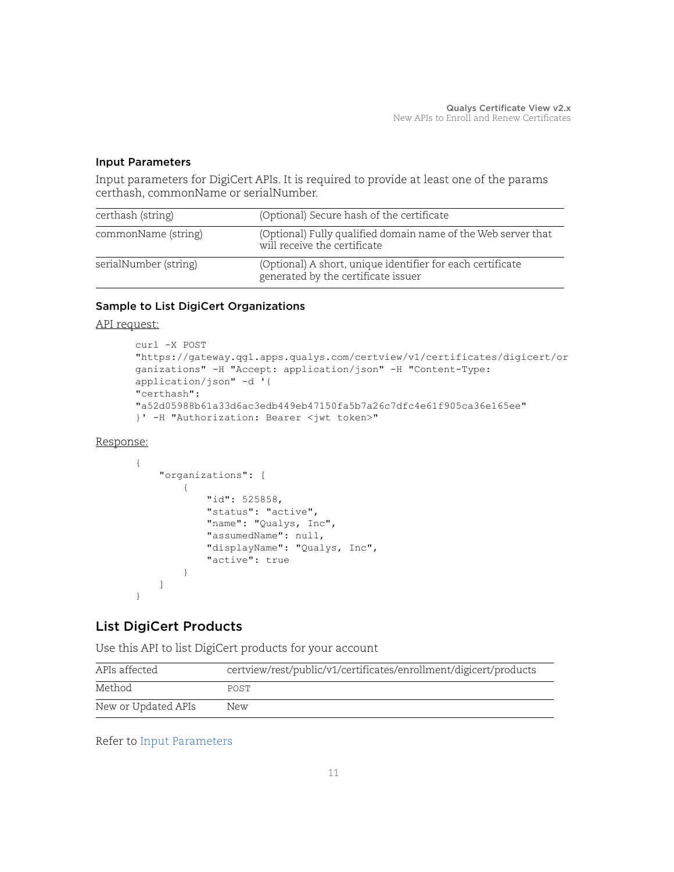### <span id="page-10-1"></span>Input Parameters

Input parameters for DigiCert APIs. It is required to provide at least one of the params certhash, commonName or serialNumber.

| certhash (string)     | (Optional) Secure hash of the certificate                                                         |
|-----------------------|---------------------------------------------------------------------------------------------------|
| commonName (string)   | (Optional) Fully qualified domain name of the Web server that<br>will receive the certificate     |
| serialNumber (string) | (Optional) A short, unique identifier for each certificate<br>generated by the certificate issuer |

## Sample to List DigiCert Organizations

API request:

```
curl -X POST 
"https://gateway.qg1.apps.qualys.com/certview/v1/certificates/digicert/or
ganizations" -H "Accept: application/json" -H "Content-Type: 
application/json" -d '{
"certhash": 
"a52d05988b61a33d6ac3edb449eb47150fa5b7a26c7dfc4e61f905ca36e165ee"
}' -H "Authorization: Bearer <jwt token>"
```
#### Response:

```
{
     "organizations": [
\overline{\mathcal{A}} "id": 525858,
               "status": "active",
               "name": "Qualys, Inc",
               "assumedName": null,
               "displayName": "Qualys, Inc",
               "active": true
          }
     ]
}
```
# <span id="page-10-0"></span>List DigiCert Products

Use this API to list DigiCert products for your account

| APIs affected       | certview/rest/public/v1/certificates/enrollment/digicert/products |
|---------------------|-------------------------------------------------------------------|
| Method              | POST                                                              |
| New or Updated APIs | New                                                               |

## Refer to [Input Parameters](#page-10-1)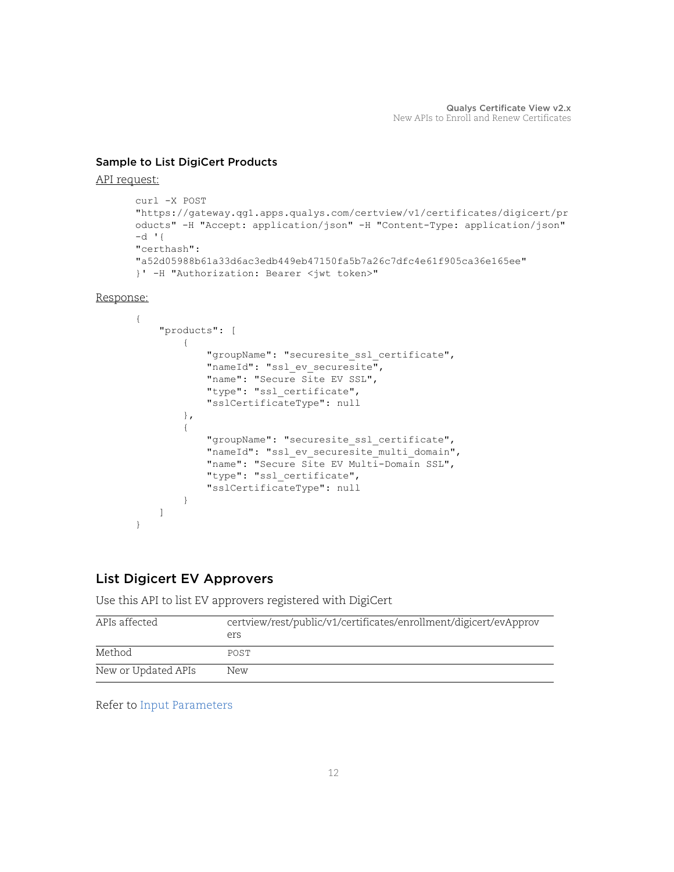### Sample to List DigiCert Products

#### API request:

```
curl -X POST 
"https://gateway.qg1.apps.qualys.com/certview/v1/certificates/digicert/pr
oducts" -H "Accept: application/json" -H "Content-Type: application/json" 
-d '{
"certhash": 
"a52d05988b61a33d6ac3edb449eb47150fa5b7a26c7dfc4e61f905ca36e165ee"
}' -H "Authorization: Bearer <jwt token>"
```
Response:

```
{
     "products": [
\overline{\mathcal{A}} "groupName": "securesite_ssl_certificate",
             "nameId": "ssl ev securesite",
              "name": "Secure Site EV SSL",
              "type": "ssl_certificate",
              "sslCertificateType": null
          },
\overline{\mathcal{A}} "groupName": "securesite_ssl_certificate",
             "nameId": "ssl ev securesite multi domain",
              "name": "Secure Site EV Multi-Domain SSL",
              "type": "ssl_certificate",
              "sslCertificateType": null
          }
     ]
}
```
# <span id="page-11-0"></span>List Digicert EV Approvers

Use this API to list EV approvers registered with DigiCert

| APIs affected       | certview/rest/public/v1/certificates/enrollment/digicert/evApprov<br>ers |  |
|---------------------|--------------------------------------------------------------------------|--|
| Method              | POST                                                                     |  |
| New or Updated APIs | New                                                                      |  |

Refer to [Input Parameters](#page-10-1)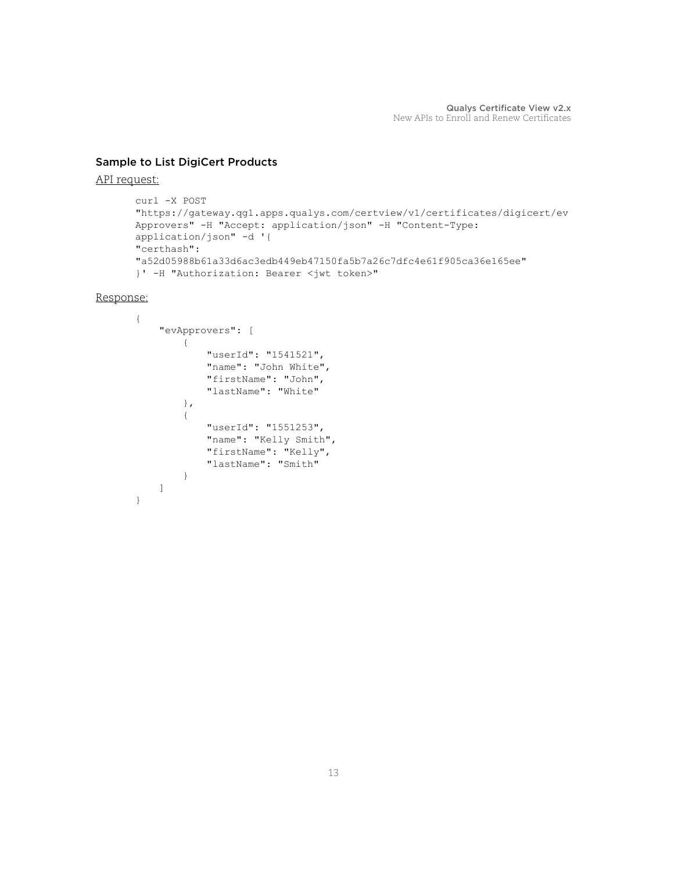### Sample to List DigiCert Products

#### API request:

```
curl -X POST 
"https://gateway.qg1.apps.qualys.com/certview/v1/certificates/digicert/ev
Approvers" -H "Accept: application/json" -H "Content-Type: 
application/json" -d '{
"certhash": 
"a52d05988b61a33d6ac3edb449eb47150fa5b7a26c7dfc4e61f905ca36e165ee"
}' -H "Authorization: Bearer <jwt token>"
```
Response:

```
{
     "evApprovers": [
          {
              "userId": "1541521",
              "name": "John White",
              "firstName": "John",
              "lastName": "White"
          },
          {
              "userId": "1551253",
             "name": "Kelly Smith",
              "firstName": "Kelly",
              "lastName": "Smith"
         }
     ]
}
```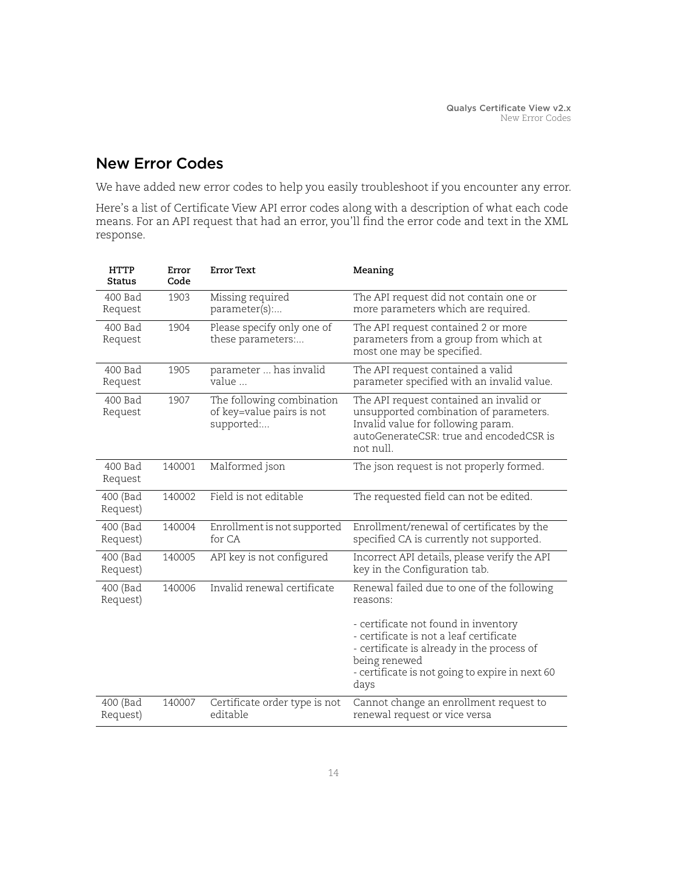# <span id="page-13-0"></span>New Error Codes

We have added new error codes to help you easily troubleshoot if you encounter any error.

Here's a list of Certificate View API error codes along with a description of what each code means. For an API request that had an error, you'll find the error code and text in the XML response.

| <b>HTTP</b><br><b>Status</b> | Error<br>Code | <b>Error Text</b>                                                    | Meaning                                                                                                                                                                                                   |
|------------------------------|---------------|----------------------------------------------------------------------|-----------------------------------------------------------------------------------------------------------------------------------------------------------------------------------------------------------|
| 400 Bad<br>Request           | 1903          | Missing required<br>parameter(s):                                    | The API request did not contain one or<br>more parameters which are required.                                                                                                                             |
| 400 Bad<br>Request           | 1904          | Please specify only one of<br>these parameters:                      | The API request contained 2 or more<br>parameters from a group from which at<br>most one may be specified.                                                                                                |
| 400 Bad<br>Request           | 1905          | parameter  has invalid<br>value                                      | The API request contained a valid<br>parameter specified with an invalid value.                                                                                                                           |
| 400 Bad<br>Request           | 1907          | The following combination<br>of key=value pairs is not<br>supported: | The API request contained an invalid or<br>unsupported combination of parameters.<br>Invalid value for following param.<br>autoGenerateCSR: true and encodedCSR is<br>not null.                           |
| 400 Bad<br>Request           | 140001        | Malformed json                                                       | The json request is not properly formed.                                                                                                                                                                  |
| 400 (Bad<br>Request)         | 140002        | Field is not editable                                                | The requested field can not be edited.                                                                                                                                                                    |
| 400 (Bad<br>Request)         | 140004        | Enrollment is not supported<br>for CA                                | Enrollment/renewal of certificates by the<br>specified CA is currently not supported.                                                                                                                     |
| 400 (Bad<br>Request)         | 140005        | API key is not configured                                            | Incorrect API details, please verify the API<br>key in the Configuration tab.                                                                                                                             |
| 400 (Bad<br>Request)         | 140006        | Invalid renewal certificate                                          | Renewal failed due to one of the following<br>reasons:                                                                                                                                                    |
|                              |               |                                                                      | - certificate not found in inventory<br>- certificate is not a leaf certificate<br>- certificate is already in the process of<br>being renewed<br>- certificate is not going to expire in next 60<br>days |
| 400 (Bad<br>Request)         | 140007        | Certificate order type is not<br>editable                            | Cannot change an enrollment request to<br>renewal request or vice versa                                                                                                                                   |